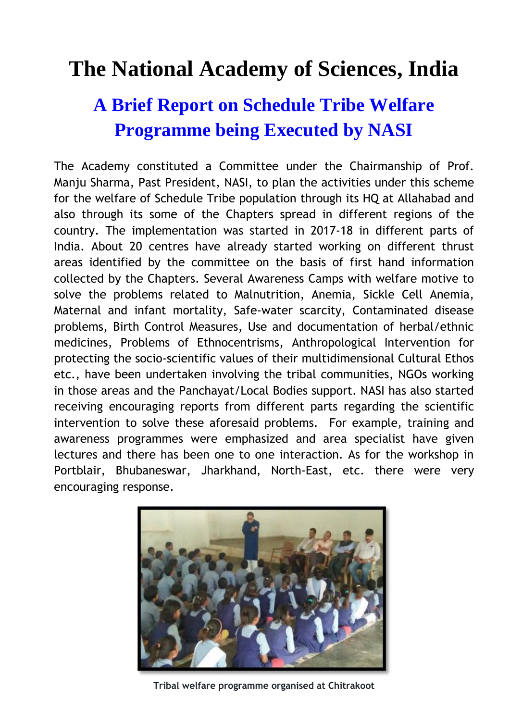## **The National Academy of Sciences, India**

## **A Brief Report on Schedule Tribe Welfare Programme being Executed by NASI**

The Academy constituted a Committee under the Chairmanship of Prof. Manju Sharma, Past President, NASI, to plan the activities under this scheme for the welfare of Schedule Tribe population through its HQ at Allahabad and also through its some of the Chapters spread in different regions of the country. The implementation was started in 2017-18 in different parts of India. About 20 centres have already started working on different thrust areas identified by the committee on the basis of first hand information collected by the Chapters. Several Awareness Camps with welfare motive to solve the problems related to Malnutrition, Anemia, Sickle Cell Anemia, Maternal and infant mortality, Safe-water scarcity, Contaminated disease problems, Birth Control Measures, Use and documentation of herbal/ethnic medicines, Problems of Ethnocentrisms, Anthropological Intervention for protecting the socio-scientific values of their multidimensional Cultural Ethos etc., have been undertaken involving the tribal communities, NGOs working in those areas and the Panchayat/Local Bodies support. NASI has also started receiving encouraging reports from different parts regarding the scientific intervention to solve these aforesaid problems. For example, training and awareness programmes were emphasized and area specialist have given lectures and there has been one to one interaction. As for the workshop in Portblair, Bhubaneswar, Jharkhand, North-East, etc. there were very encouraging response.



**Tribal welfare programme organised at Chitrakoot**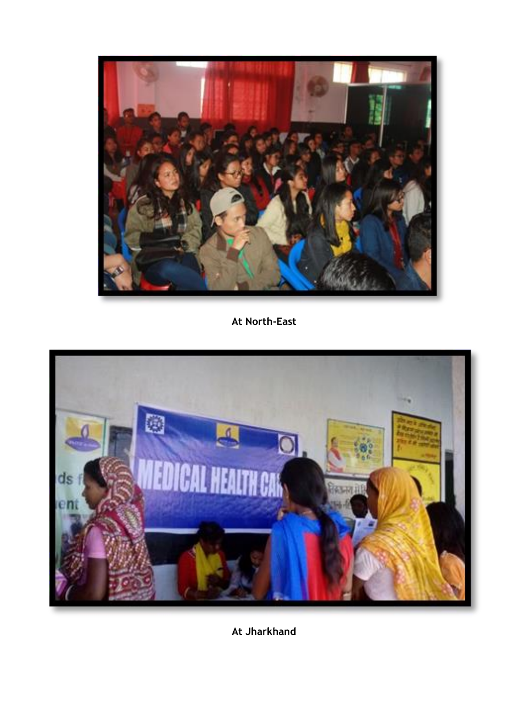

**At North-East**



**At Jharkhand**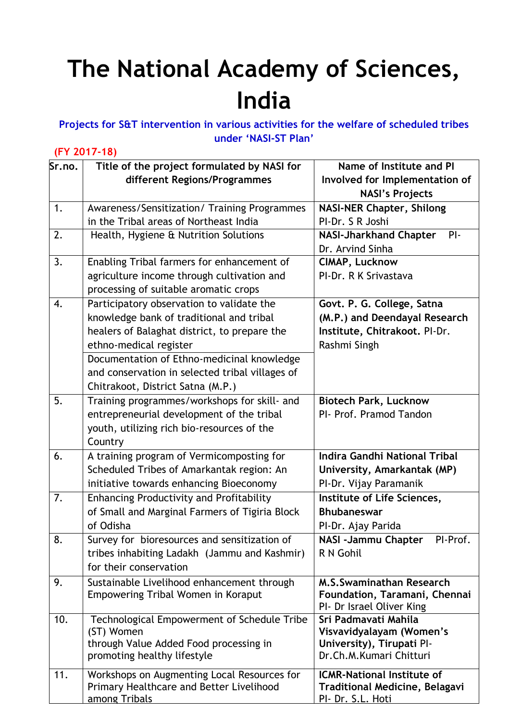# **The National Academy of Sciences, India**

#### **Projects for S&T intervention in various activities for the welfare of scheduled tribes under 'NASI-ST Plan'**

#### **(FY 2017-18)**

| Sr.no. | Title of the project formulated by NASI for                           | Name of Institute and PI                             |
|--------|-----------------------------------------------------------------------|------------------------------------------------------|
|        | different Regions/Programmes                                          | Involved for Implementation of                       |
|        |                                                                       | <b>NASI's Projects</b>                               |
| 1.     | Awareness/Sensitization/ Training Programmes                          | <b>NASI-NER Chapter, Shilong</b>                     |
|        | in the Tribal areas of Northeast India                                | PI-Dr. S R Joshi                                     |
| 2.     | Health, Hygiene & Nutrition Solutions                                 | <b>NASI-Jharkhand Chapter</b><br>$PI -$              |
|        |                                                                       | Dr. Arvind Sinha                                     |
| 3.     | Enabling Tribal farmers for enhancement of                            | CIMAP, Lucknow                                       |
|        | agriculture income through cultivation and                            | PI-Dr. R K Srivastava                                |
|        | processing of suitable aromatic crops                                 |                                                      |
| 4.     | Participatory observation to validate the                             | Govt. P. G. College, Satna                           |
|        | knowledge bank of traditional and tribal                              | (M.P.) and Deendayal Research                        |
|        | healers of Balaghat district, to prepare the                          | Institute, Chitrakoot. PI-Dr.                        |
|        | ethno-medical register                                                | Rashmi Singh                                         |
|        | Documentation of Ethno-medicinal knowledge                            |                                                      |
|        | and conservation in selected tribal villages of                       |                                                      |
|        | Chitrakoot, District Satna (M.P.)                                     |                                                      |
| 5.     | Training programmes/workshops for skill- and                          | <b>Biotech Park, Lucknow</b>                         |
|        | entrepreneurial development of the tribal                             | PI- Prof. Pramod Tandon                              |
|        | youth, utilizing rich bio-resources of the                            |                                                      |
|        | Country                                                               |                                                      |
| 6.     | A training program of Vermicomposting for                             | <b>Indira Gandhi National Tribal</b>                 |
|        | Scheduled Tribes of Amarkantak region: An                             | University, Amarkantak (MP)                          |
|        | initiative towards enhancing Bioeconomy                               | PI-Dr. Vijay Paramanik                               |
| 7.     | <b>Enhancing Productivity and Profitability</b>                       | Institute of Life Sciences,                          |
|        | of Small and Marginal Farmers of Tigiria Block                        | <b>Bhubaneswar</b>                                   |
|        | of Odisha                                                             | PI-Dr. Ajay Parida                                   |
| 8.     | Survey for bioresources and sensitization of                          | <b>NASI -Jammu Chapter</b><br>PI-Prof.               |
|        | tribes inhabiting Ladakh (Jammu and Kashmir)                          | R N Gohil                                            |
|        | for their conservation                                                |                                                      |
| 9.     | Sustainable Livelihood enhancement through                            | M.S.Swaminathan Research                             |
|        | Empowering Tribal Women in Koraput                                    | Foundation, Taramani, Chennai                        |
|        |                                                                       | PI- Dr Israel Oliver King                            |
| 10.    | Technological Empowerment of Schedule Tribe                           | Sri Padmavati Mahila                                 |
|        | (ST) Women                                                            | Visvavidyalayam (Women's                             |
|        | through Value Added Food processing in<br>promoting healthy lifestyle | University), Tirupati Pl-<br>Dr.Ch.M.Kumari Chitturi |
|        |                                                                       |                                                      |
| 11.    | Workshops on Augmenting Local Resources for                           | <b>ICMR-National Institute of</b>                    |
|        | Primary Healthcare and Better Livelihood                              | <b>Traditional Medicine, Belagavi</b>                |
|        | among Tribals                                                         | PI- Dr. S.L. Hoti                                    |